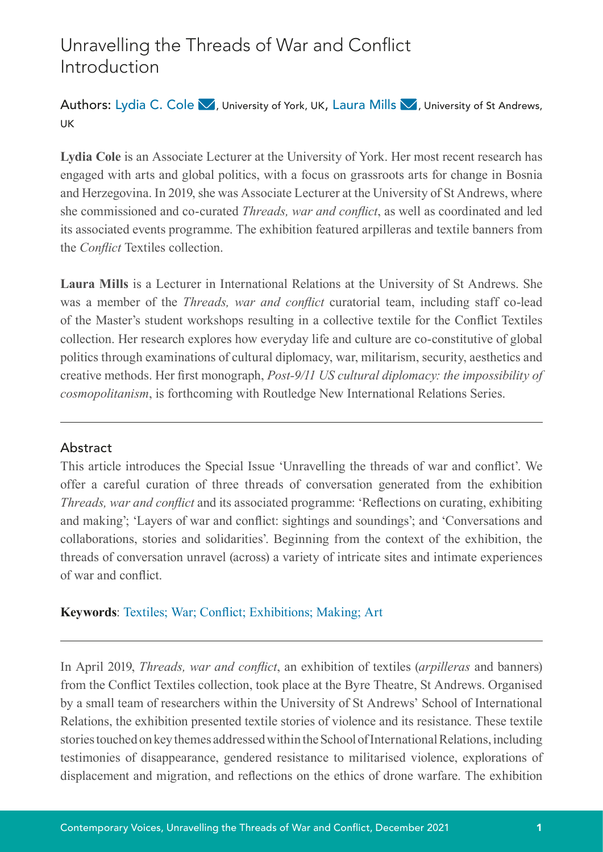# Unravelling the Threads of War and Conflict Introduction

Author[s](mailto:ljm33%40st-andrews.ac.uk%20?subject=): Lydia C. Cole  $\blacktriangledown$ [,](mailto:Lydia.cole%40york.ac.uk?subject=) University of York, UK, Laura Mills  $\blacktriangledown$ , University of St Andrews, UK

**Lydia Cole** is an Associate Lecturer at the University of York. Her most recent research has engaged with arts and global politics, with a focus on grassroots arts for change in Bosnia and Herzegovina. In 2019, she was Associate Lecturer at the University of St Andrews, where she commissioned and co-curated *Threads, war and conflict*, as well as coordinated and led its associated events programme. The exhibition featured arpilleras and textile banners from the *Conflict* Textiles collection.

**Laura Mills** is a Lecturer in International Relations at the University of St Andrews. She was a member of the *Threads, war and conflict* curatorial team, including staff co-lead of the Master's student workshops resulting in a collective textile for the Conflict Textiles collection. Her research explores how everyday life and culture are co-constitutive of global politics through examinations of cultural diplomacy, war, militarism, security, aesthetics and creative methods. Her first monograph, *Post-9/11 US cultural diplomacy: the impossibility of cosmopolitanism*, is forthcoming with Routledge New International Relations Series.

### Abstract

This article introduces the Special Issue 'Unravelling the threads of war and conflict'. We offer a careful curation of three threads of conversation generated from the exhibition *Threads, war and conflict* and its associated programme: 'Reflections on curating, exhibiting and making'; 'Layers of war and conflict: sightings and soundings'; and 'Conversations and collaborations, stories and solidarities'. Beginning from the context of the exhibition, the threads of conversation unravel (across) a variety of intricate sites and intimate experiences of war and conflict.

## **Keywords**: Textiles; War; Conflict; Exhibitions; Making; Art

In April 2019, *Threads, war and conflict*, an exhibition of textiles (*arpilleras* and banners) from the Conflict Textiles collection, took place at the Byre Theatre, St Andrews. Organised by a small team of researchers within the University of St Andrews' School of International Relations, the exhibition presented textile stories of violence and its resistance. These textile stories touched on key themes addressed within the School of International Relations, including testimonies of disappearance, gendered resistance to militarised violence, explorations of displacement and migration, and reflections on the ethics of drone warfare. The exhibition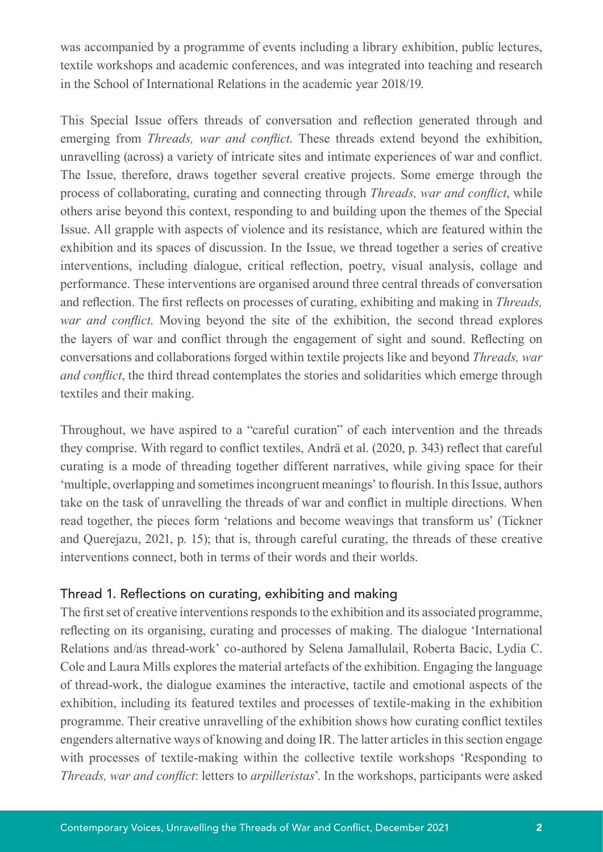was accompanied by a programme of events including a library exhibition, public lectures, textile workshops and academic conferences, and was integrated into teaching and research in the School of International Relations in the academic year 2018/19.

This Special Issue offers threads of conversation and reflection generated through and emerging from *Threads, war and conflict*. These threads extend beyond the exhibition, unravelling (across) a variety of intricate sites and intimate experiences of war and conflict. The Issue, therefore, draws together several creative projects. Some emerge through the process of collaborating, curating and connecting through *Threads, war and conflict*, while others arise beyond this context, responding to and building upon the themes of the Special Issue. All grapple with aspects of violence and its resistance, which are featured within the exhibition and its spaces of discussion. In the Issue, we thread together a series of creative interventions, including dialogue, critical reflection, poetry, visual analysis, collage and performance. These interventions are organised around three central threads of conversation and reflection. The first reflects on processes of curating, exhibiting and making in *Threads, war and conflict*. Moving beyond the site of the exhibition, the second thread explores the layers of war and conflict through the engagement of sight and sound. Reflecting on conversations and collaborations forged within textile projects like and beyond *Threads, war and conflict*, the third thread contemplates the stories and solidarities which emerge through textiles and their making.

Throughout, we have aspired to a "careful curation" of each intervention and the threads they comprise. With regard to conflict textiles, Andrä et al. (2020, p. 343) reflect that careful curating is a mode of threading together different narratives, while giving space for their 'multiple, overlapping and sometimes incongruent meanings' to flourish. In this Issue, authors take on the task of unravelling the threads of war and conflict in multiple directions. When read together, the pieces form 'relations and become weavings that transform us' (Tickner and Querejazu, 2021, p. 15); that is, through careful curating, the threads of these creative interventions connect, both in terms of their words and their worlds.

# Thread 1. Reflections on curating, exhibiting and making

The first set of creative interventions responds to the exhibition and its associated programme, reflecting on its organising, curating and processes of making. The dialogue 'International Relations and/as thread-work' co-authored by Selena Jamallulail, Roberta Bacic, Lydia C. Cole and Laura Mills explores the material artefacts of the exhibition. Engaging the language of thread-work, the dialogue examines the interactive, tactile and emotional aspects of the exhibition, including its featured textiles and processes of textile-making in the exhibition programme. Their creative unravelling of the exhibition shows how curating conflict textiles engenders alternative ways of knowing and doing IR. The latter articles in this section engage with processes of textile-making within the collective textile workshops 'Responding to *Threads, war and conflict*: letters to *arpilleristas*'. In the workshops, participants were asked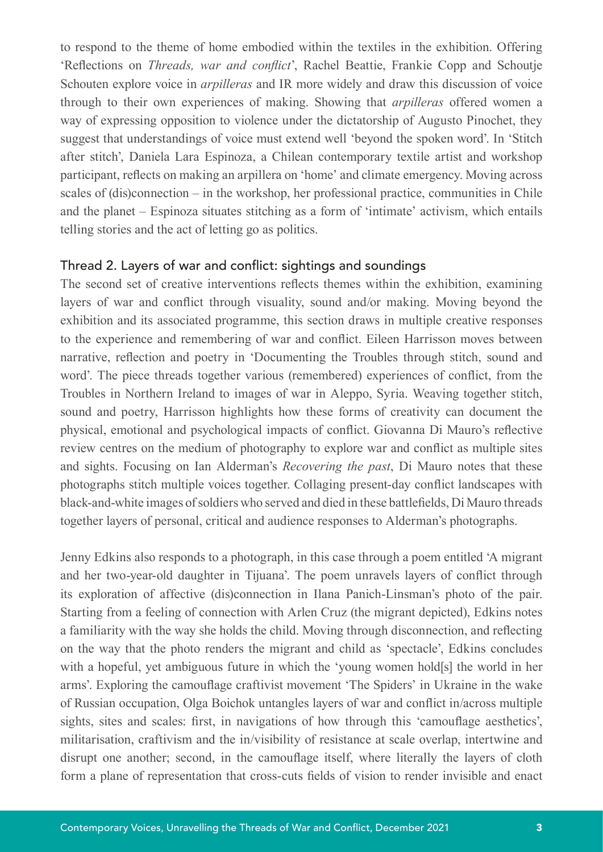to respond to the theme of home embodied within the textiles in the exhibition. Offering 'Reflections on *Threads, war and conflict*', Rachel Beattie, Frankie Copp and Schoutje Schouten explore voice in *arpilleras* and IR more widely and draw this discussion of voice through to their own experiences of making. Showing that *arpilleras* offered women a way of expressing opposition to violence under the dictatorship of Augusto Pinochet, they suggest that understandings of voice must extend well 'beyond the spoken word'. In 'Stitch after stitch', Daniela Lara Espinoza, a Chilean contemporary textile artist and workshop participant, reflects on making an arpillera on 'home' and climate emergency. Moving across scales of (dis)connection – in the workshop, her professional practice, communities in Chile and the planet – Espinoza situates stitching as a form of 'intimate' activism, which entails telling stories and the act of letting go as politics.

### Thread 2. Layers of war and conflict: sightings and soundings

The second set of creative interventions reflects themes within the exhibition, examining layers of war and conflict through visuality, sound and/or making. Moving beyond the exhibition and its associated programme, this section draws in multiple creative responses to the experience and remembering of war and conflict. Eileen Harrisson moves between narrative, reflection and poetry in 'Documenting the Troubles through stitch, sound and word'. The piece threads together various (remembered) experiences of conflict, from the Troubles in Northern Ireland to images of war in Aleppo, Syria. Weaving together stitch, sound and poetry, Harrisson highlights how these forms of creativity can document the physical, emotional and psychological impacts of conflict. Giovanna Di Mauro's reflective review centres on the medium of photography to explore war and conflict as multiple sites and sights. Focusing on Ian Alderman's *Recovering the past*, Di Mauro notes that these photographs stitch multiple voices together. Collaging present-day conflict landscapes with black-and-white images of soldiers who served and died in these battlefields, Di Mauro threads together layers of personal, critical and audience responses to Alderman's photographs.

Jenny Edkins also responds to a photograph, in this case through a poem entitled 'A migrant and her two-year-old daughter in Tijuana'. The poem unravels layers of conflict through its exploration of affective (dis)connection in Ilana Panich-Linsman's photo of the pair. Starting from a feeling of connection with Arlen Cruz (the migrant depicted), Edkins notes a familiarity with the way she holds the child. Moving through disconnection, and reflecting on the way that the photo renders the migrant and child as 'spectacle', Edkins concludes with a hopeful, yet ambiguous future in which the 'young women hold[s] the world in her arms'. Exploring the camouflage craftivist movement 'The Spiders' in Ukraine in the wake of Russian occupation, Olga Boichok untangles layers of war and conflict in/across multiple sights, sites and scales: first, in navigations of how through this 'camouflage aesthetics', militarisation, craftivism and the in/visibility of resistance at scale overlap, intertwine and disrupt one another; second, in the camouflage itself, where literally the layers of cloth form a plane of representation that cross-cuts fields of vision to render invisible and enact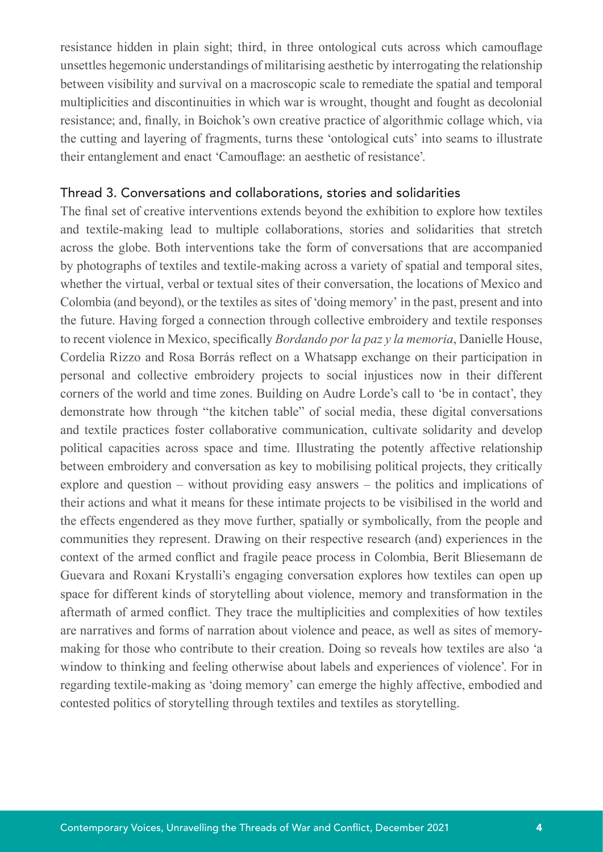resistance hidden in plain sight; third, in three ontological cuts across which camouflage unsettles hegemonic understandings of militarising aesthetic by interrogating the relationship between visibility and survival on a macroscopic scale to remediate the spatial and temporal multiplicities and discontinuities in which war is wrought, thought and fought as decolonial resistance; and, finally, in Boichok's own creative practice of algorithmic collage which, via the cutting and layering of fragments, turns these 'ontological cuts' into seams to illustrate their entanglement and enact 'Camouflage: an aesthetic of resistance'.

#### Thread 3. Conversations and collaborations, stories and solidarities

The final set of creative interventions extends beyond the exhibition to explore how textiles and textile-making lead to multiple collaborations, stories and solidarities that stretch across the globe. Both interventions take the form of conversations that are accompanied by photographs of textiles and textile-making across a variety of spatial and temporal sites, whether the virtual, verbal or textual sites of their conversation, the locations of Mexico and Colombia (and beyond), or the textiles as sites of 'doing memory' in the past, present and into the future. Having forged a connection through collective embroidery and textile responses to recent violence in Mexico, specifically *Bordando por la paz y la memoria*, Danielle House, Cordelia Rizzo and Rosa Borrás reflect on a Whatsapp exchange on their participation in personal and collective embroidery projects to social injustices now in their different corners of the world and time zones. Building on Audre Lorde's call to 'be in contact', they demonstrate how through "the kitchen table" of social media, these digital conversations and textile practices foster collaborative communication, cultivate solidarity and develop political capacities across space and time. Illustrating the potently affective relationship between embroidery and conversation as key to mobilising political projects, they critically explore and question – without providing easy answers – the politics and implications of their actions and what it means for these intimate projects to be visibilised in the world and the effects engendered as they move further, spatially or symbolically, from the people and communities they represent. Drawing on their respective research (and) experiences in the context of the armed conflict and fragile peace process in Colombia, Berit Bliesemann de Guevara and Roxani Krystalli's engaging conversation explores how textiles can open up space for different kinds of storytelling about violence, memory and transformation in the aftermath of armed conflict. They trace the multiplicities and complexities of how textiles are narratives and forms of narration about violence and peace, as well as sites of memorymaking for those who contribute to their creation. Doing so reveals how textiles are also 'a window to thinking and feeling otherwise about labels and experiences of violence'. For in regarding textile-making as 'doing memory' can emerge the highly affective, embodied and contested politics of storytelling through textiles and textiles as storytelling.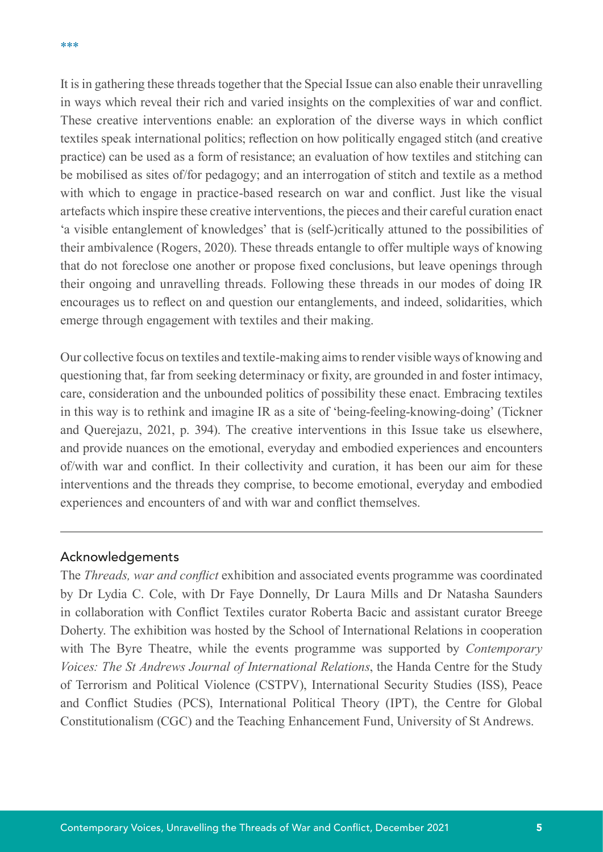It is in gathering these threads together that the Special Issue can also enable their unravelling in ways which reveal their rich and varied insights on the complexities of war and conflict. These creative interventions enable: an exploration of the diverse ways in which conflict textiles speak international politics; reflection on how politically engaged stitch (and creative practice) can be used as a form of resistance; an evaluation of how textiles and stitching can be mobilised as sites of/for pedagogy; and an interrogation of stitch and textile as a method with which to engage in practice-based research on war and conflict. Just like the visual artefacts which inspire these creative interventions, the pieces and their careful curation enact 'a visible entanglement of knowledges' that is (self-)critically attuned to the possibilities of their ambivalence (Rogers, 2020). These threads entangle to offer multiple ways of knowing that do not foreclose one another or propose fixed conclusions, but leave openings through their ongoing and unravelling threads. Following these threads in our modes of doing IR encourages us to reflect on and question our entanglements, and indeed, solidarities, which emerge through engagement with textiles and their making.

Our collective focus on textiles and textile-making aims to render visible ways of knowing and questioning that, far from seeking determinacy or fixity, are grounded in and foster intimacy, care, consideration and the unbounded politics of possibility these enact. Embracing textiles in this way is to rethink and imagine IR as a site of 'being-feeling-knowing-doing' (Tickner and Querejazu, 2021, p. 394). The creative interventions in this Issue take us elsewhere, and provide nuances on the emotional, everyday and embodied experiences and encounters of/with war and conflict. In their collectivity and curation, it has been our aim for these interventions and the threads they comprise, to become emotional, everyday and embodied experiences and encounters of and with war and conflict themselves.

#### Acknowledgements

The *Threads, war and conflict* exhibition and associated events programme was coordinated by Dr Lydia C. Cole, with Dr Faye Donnelly, Dr Laura Mills and Dr Natasha Saunders in collaboration with Conflict Textiles curator Roberta Bacic and assistant curator Breege Doherty. The exhibition was hosted by the School of International Relations in cooperation with The Byre Theatre, while the events programme was supported by *Contemporary Voices: The St Andrews Journal of International Relations*, the Handa Centre for the Study of Terrorism and Political Violence (CSTPV), International Security Studies (ISS), Peace and Conflict Studies (PCS), International Political Theory (IPT), the Centre for Global Constitutionalism (CGC) and the Teaching Enhancement Fund, University of St Andrews.